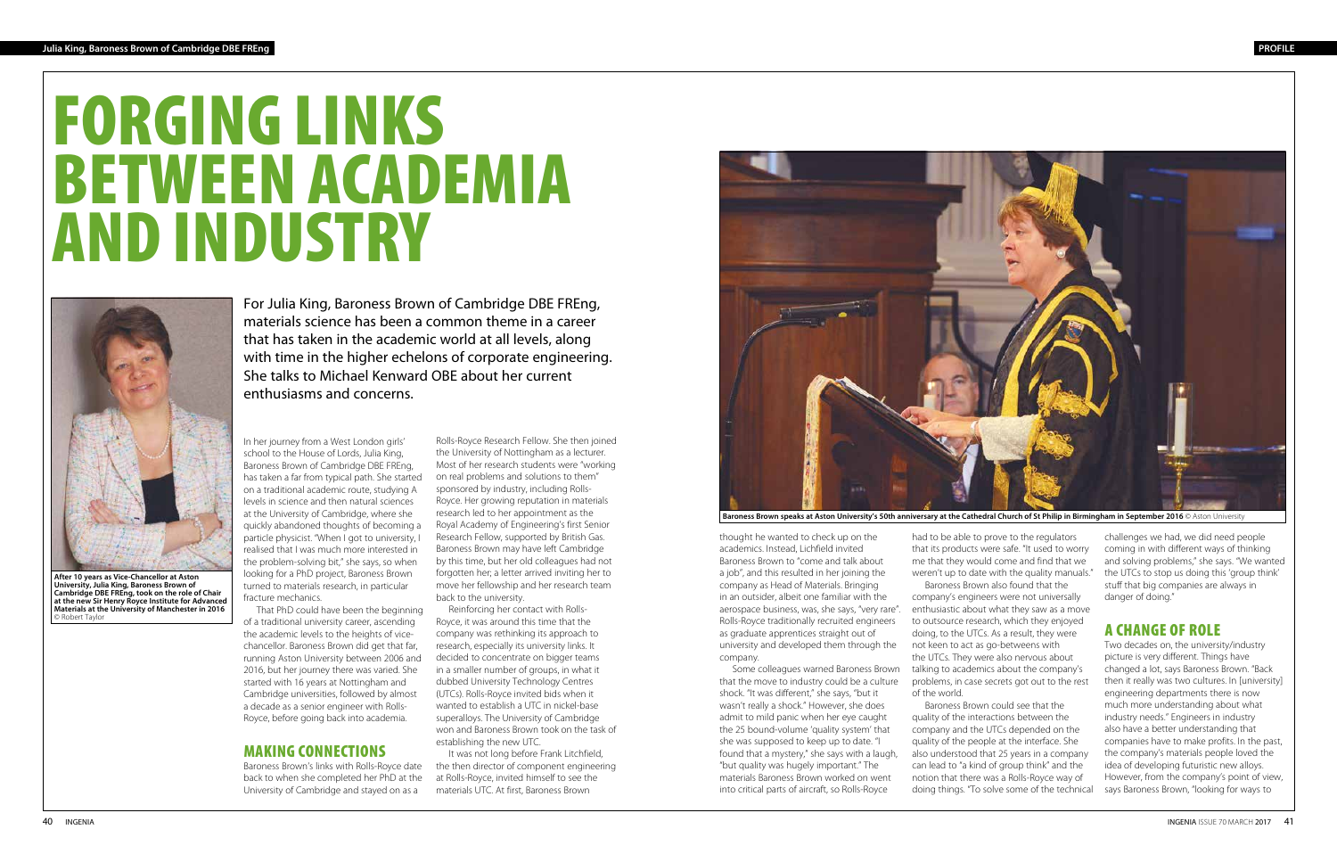# FORGING LINKS BETWEEN ACADEMIA AND INDUSTRY



**After 10 years as Vice-Chancellor at Aston University, Julia King, Baroness Brown of Cambridge DBE FREng, took on the role of Chair at the new Sir Henry Royce Institute for Advanced Materials at the University of Manchester in 2016**  © Robert Taylo

For Julia King, Baroness Brown of Cambridge DBE FREng, materials science has been a common theme in a career that has taken in the academic world at all levels, along with time in the higher echelons of corporate engineering. She talks to Michael Kenward OBE about her current enthusiasms and concerns.

In her journey from a West London girls' school to the House of Lords, Julia King, Baroness Brown of Cambridge DBE FREng, has taken a far from typical path. She started on a traditional academic route, studying A levels in science and then natural sciences at the University of Cambridge, where she quickly abandoned thoughts of becoming a particle physicist. "When I got to university, I realised that I was much more interested in the problem-solving bit," she says, so when looking for a PhD project, Baroness Brown turned to materials research, in particular fracture mechanics.

That PhD could have been the beginning of a traditional university career, ascending the academic levels to the heights of vicechancellor. Baroness Brown did get that far, running Aston University between 2006 and 2016, but her journey there was varied. She started with 16 years at Nottingham and Cambridge universities, followed by almost a decade as a senior engineer with Rolls-Royce, before going back into academia.

# MAKING CONNECTIONS

Baroness Brown's links with Rolls-Royce date back to when she completed her PhD at the University of Cambridge and stayed on as a

thought he wanted to check up on the academics. Instead, Lichfield invited Baroness Brown to "come and talk about a job", and this resulted in her joining the company as Head of Materials. Bringing in an outsider, albeit one familiar with the aerospace business, was, she says, "very rare". Rolls-Royce traditionally recruited engineers as graduate apprentices straight out of university and developed them through the company.

challenges we had, we did need people coming in with different ways of thinking and solving problems," she says. "We wanted the UTCs to stop us doing this 'group think' stuff that big companies are always in danger of doing."

Some colleagues warned Baroness Brown that the move to industry could be a culture shock. "It was different," she says, "but it wasn't really a shock." However, she does admit to mild panic when her eye caught the 25 bound-volume 'quality system' that she was supposed to keep up to date. "I found that a mystery," she says with a laugh, "but quality was hugely important." The materials Baroness Brown worked on went into critical parts of aircraft, so Rolls-Royce

had to be able to prove to the regulators that its products were safe. "It used to worry me that they would come and find that we weren't up to date with the quality manuals."

Baroness Brown also found that the company's engineers were not universally enthusiastic about what they saw as a move to outsource research, which they enjoyed doing, to the UTCs. As a result, they were not keen to act as go-betweens with the UTCs. They were also nervous about talking to academics about the company's problems, in case secrets got out to the rest of the world.

Baroness Brown could see that the quality of the interactions between the company and the UTCs depended on the quality of the people at the interface. She also understood that 25 years in a company can lead to "a kind of group think" and the notion that there was a Rolls-Royce way of doing things. "To solve some of the technical

Rolls-Royce Research Fellow. She then joined the University of Nottingham as a lecturer. Most of her research students were "working on real problems and solutions to them" sponsored by industry, including Rolls-Royce. Her growing reputation in materials research led to her appointment as the Royal Academy of Engineering's first Senior Research Fellow, supported by British Gas. Baroness Brown may have left Cambridge by this time, but her old colleagues had not forgotten her; a letter arrived inviting her to move her fellowship and her research team back to the university.

Reinforcing her contact with Rolls-Royce, it was around this time that the company was rethinking its approach to research, especially its university links. It decided to concentrate on bigger teams in a smaller number of groups, in what it dubbed University Technology Centres (UTCs). Rolls-Royce invited bids when it wanted to establish a UTC in nickel-base superalloys. The University of Cambridge won and Baroness Brown took on the task of establishing the new UTC.

It was not long before Frank Litchfield, the then director of component engineering at Rolls-Royce, invited himself to see the materials UTC. At first, Baroness Brown

# A CHANGE OF ROLE

Two decades on, the university/industry picture is very different. Things have changed a lot, says Baroness Brown. "Back then it really was two cultures. In [university] engineering departments there is now much more understanding about what industry needs." Engineers in industry also have a better understanding that companies have to make profits. In the past, the company's materials people loved the idea of developing futuristic new alloys. However, from the company's point of view, says Baroness Brown, "looking for ways to

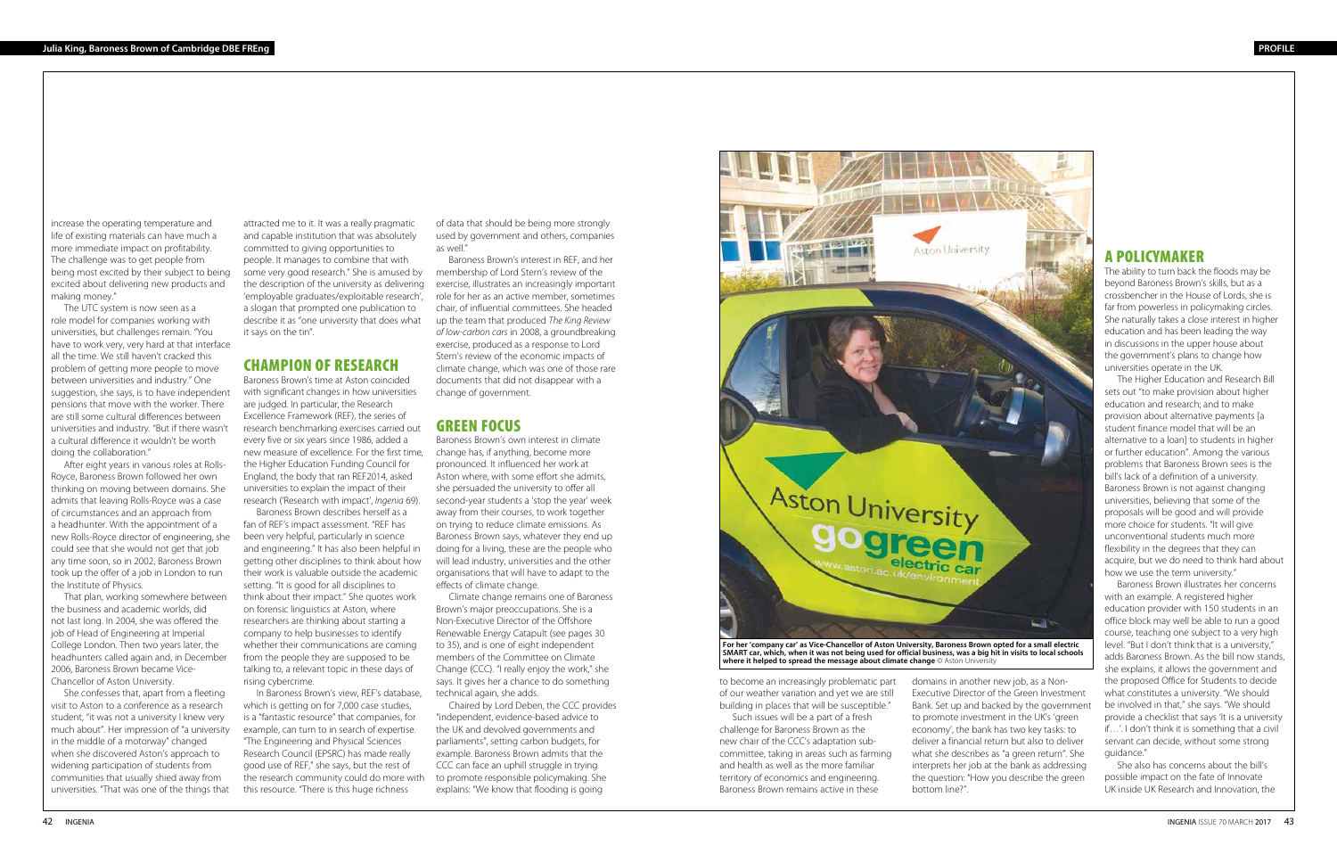to become an increasingly problematic part of our weather variation and yet we are still building in places that will be susceptible."

Such issues will be a part of a fresh challenge for Baroness Brown as the new chair of the CCC's adaptation subcommittee, taking in areas such as farming and health as well as the more familiar territory of economics and engineering. Baroness Brown remains active in these

### A POLICYMAKER

The ability to turn back the floods may be beyond Baroness Brown's skills, but as a crossbencher in the House of Lords, she is far from powerless in policymaking circles. She naturally takes a close interest in higher education and has been leading the way in discussions in the upper house about the government's plans to change how universities operate in the UK.

The Higher Education and Research Bill sets out "to make provision about higher education and research; and to make provision about alternative payments [a student finance model that will be an alternative to a loan] to students in higher or further education". Among the various problems that Baroness Brown sees is the bill's lack of a definition of a university. Baroness Brown is not against changing universities, believing that some of the proposals will be good and will provide more choice for students. "It will give unconventional students much more flexibility in the degrees that they can acquire, but we do need to think hard about how we use the term university."

Baroness Brown illustrates her concerns with an example. A registered higher education provider with 150 students in an office block may well be able to run a good course, teaching one subject to a very high level. "But I don't think that is a university," adds Baroness Brown. As the bill now stands, she explains, it allows the government and the proposed Office for Students to decide what constitutes a university. "We should be involved in that," she says. "We should provide a checklist that says 'It is a university if…'. I don't think it is something that a civil servant can decide, without some strong guidance."

She also has concerns about the bill's possible impact on the fate of Innovate UK inside UK Research and Innovation, the

domains in another new job, as a Non-Executive Director of the Green Investment Bank. Set up and backed by the government to promote investment in the UK's 'green economy', the bank has two key tasks: to deliver a financial return but also to deliver what she describes as "a green return". She interprets her job at the bank as addressing the question: "How you describe the green bottom line?".

increase the operating temperature and life of existing materials can have much a more immediate impact on profitability. The challenge was to get people from being most excited by their subject to being excited about delivering new products and making money."

The UTC system is now seen as a role model for companies working with universities, but challenges remain. "You have to work very, very hard at that interface all the time. We still haven't cracked this problem of getting more people to move between universities and industry." One suggestion, she says, is to have independent pensions that move with the worker. There are still some cultural differences between universities and industry. "But if there wasn't a cultural difference it wouldn't be worth doing the collaboration."

After eight years in various roles at Rolls-Royce, Baroness Brown followed her own thinking on moving between domains. She admits that leaving Rolls-Royce was a case of circumstances and an approach from a headhunter. With the appointment of a new Rolls-Royce director of engineering, she could see that she would not get that job any time soon, so in 2002, Baroness Brown took up the offer of a job in London to run the Institute of Physics.

That plan, working somewhere between the business and academic worlds, did not last long. In 2004, she was offered the job of Head of Engineering at Imperial College London. Then two years later, the headhunters called again and, in December 2006, Baroness Brown became Vice-Chancellor of Aston University.

She confesses that, apart from a fleeting visit to Aston to a conference as a research student, "it was not a university I knew very much about". Her impression of "a university in the middle of a motorway" changed when she discovered Aston's approach to widening participation of students from communities that usually shied away from universities. "That was one of the things that

attracted me to it. It was a really pragmatic and capable institution that was absolutely committed to giving opportunities to people. It manages to combine that with some very good research." She is amused by the description of the university as delivering 'employable graduates/exploitable research', a slogan that prompted one publication to describe it as "one university that does what it says on the tin".

#### CHAMPION OF RESEARCH

Baroness Brown's time at Aston coincided with significant changes in how universities are judged. In particular, the Research Excellence Framework (REF), the series of research benchmarking exercises carried out every five or six years since 1986, added a new measure of excellence. For the first time, the Higher Education Funding Council for England, the body that ran REF2014, asked universities to explain the impact of their research ('Research with impact', *Ingenia* 69).

Baroness Brown describes herself as a fan of REF's impact assessment. "REF has been very helpful, particularly in science and engineering." It has also been helpful in getting other disciplines to think about how their work is valuable outside the academic setting. "It is good for all disciplines to think about their impact." She quotes work on forensic linguistics at Aston, where researchers are thinking about starting a company to help businesses to identify whether their communications are coming from the people they are supposed to be talking to, a relevant topic in these days of rising cybercrime.

In Baroness Brown's view, REF's database, which is getting on for 7,000 case studies, is a "fantastic resource" that companies, for example, can turn to in search of expertise. "The Engineering and Physical Sciences Research Council (EPSRC) has made really good use of REF," she says, but the rest of the research community could do more with this resource. "There is this huge richness

of data that should be being more strongly used by government and others, companies as well."

Baroness Brown's interest in REF, and her membership of Lord Stern's review of the exercise, illustrates an increasingly important role for her as an active member, sometimes chair, of influential committees. She headed up the team that produced *The King Review of low-carbon cars* in 2008, a groundbreaking exercise, produced as a response to Lord Stern's review of the economic impacts of climate change, which was one of those rare documents that did not disappear with a change of government.

## GREEN FOCUS

Baroness Brown's own interest in climate change has, if anything, become more pronounced. It influenced her work at Aston where, with some effort she admits, she persuaded the university to offer all second-year students a 'stop the year' week away from their courses, to work together on trying to reduce climate emissions. As Baroness Brown says, whatever they end up doing for a living, these are the people who will lead industry, universities and the other organisations that will have to adapt to the effects of climate change.

Climate change remains one of Baroness Brown's major preoccupations. She is a Non-Executive Director of the Offshore Renewable Energy Catapult (see pages 30 to 35), and is one of eight independent members of the Committee on Climate Change (CCC). "I really enjoy the work," she says. It gives her a chance to do something technical again, she adds.

Chaired by Lord Deben, the CCC provides "independent, evidence-based advice to the UK and devolved governments and parliaments", setting carbon budgets, for example. Baroness Brown admits that the CCC can face an uphill struggle in trying to promote responsible policymaking. She explains: "We know that flooding is going